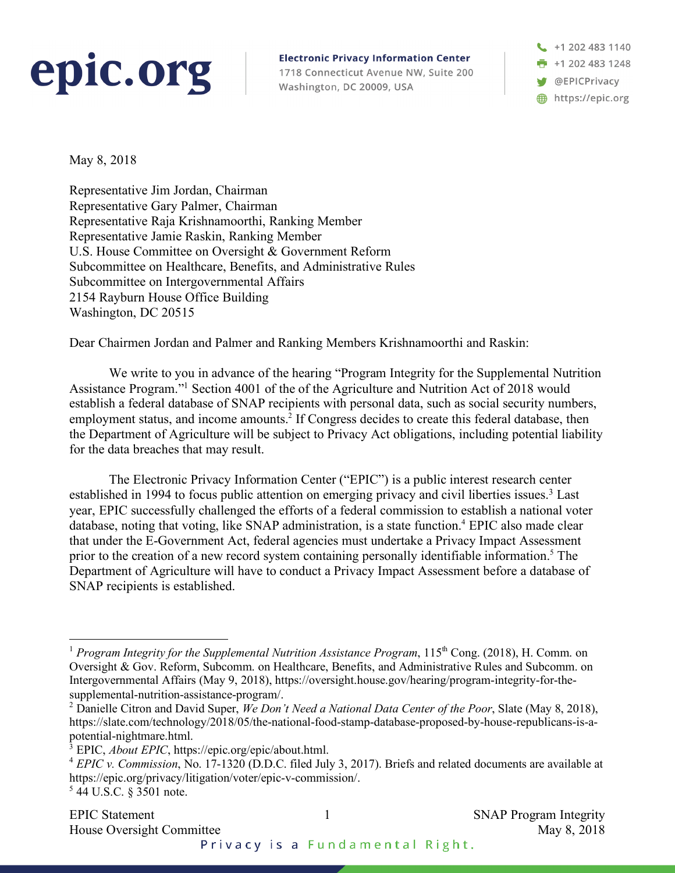## epic.org

**Electronic Privacy Information Center** 1718 Connecticut Avenue NW, Suite 200 Washington, DC 20009, USA

+1 202 483 1140  $\frac{1}{2}$  +1 202 483 1248 **W** @EPICPrivacy https://epic.org

May 8, 2018

Representative Jim Jordan, Chairman Representative Gary Palmer, Chairman Representative Raja Krishnamoorthi, Ranking Member Representative Jamie Raskin, Ranking Member U.S. House Committee on Oversight & Government Reform Subcommittee on Healthcare, Benefits, and Administrative Rules Subcommittee on Intergovernmental Affairs 2154 Rayburn House Office Building Washington, DC 20515

Dear Chairmen Jordan and Palmer and Ranking Members Krishnamoorthi and Raskin:

We write to you in advance of the hearing "Program Integrity for the Supplemental Nutrition Assistance Program."1 Section 4001 of the of the Agriculture and Nutrition Act of 2018 would establish a federal database of SNAP recipients with personal data, such as social security numbers, employment status, and income amounts.<sup>2</sup> If Congress decides to create this federal database, then the Department of Agriculture will be subject to Privacy Act obligations, including potential liability for the data breaches that may result.

The Electronic Privacy Information Center ("EPIC") is a public interest research center established in 1994 to focus public attention on emerging privacy and civil liberties issues.<sup>3</sup> Last year, EPIC successfully challenged the efforts of a federal commission to establish a national voter database, noting that voting, like SNAP administration, is a state function.<sup>4</sup> EPIC also made clear that under the E-Government Act, federal agencies must undertake a Privacy Impact Assessment prior to the creation of a new record system containing personally identifiable information. <sup>5</sup> The Department of Agriculture will have to conduct a Privacy Impact Assessment before a database of SNAP recipients is established.

<sup>&</sup>lt;sup>1</sup> *Program Integrity for the Supplemental Nutrition Assistance Program,* 115<sup>th</sup> Cong. (2018), H. Comm. on Oversight & Gov. Reform, Subcomm. on Healthcare, Benefits, and Administrative Rules and Subcomm. on Intergovernmental Affairs (May 9, 2018), https://oversight.house.gov/hearing/program-integrity-for-thesupplemental-nutrition-assistance-program/.

<sup>2</sup> Danielle Citron and David Super, *We Don't Need a National Data Center of the Poor*, Slate (May 8, 2018), https://slate.com/technology/2018/05/the-national-food-stamp-database-proposed-by-house-republicans-is-apotential-nightmare.html.

<sup>3</sup> EPIC, *About EPIC*, https://epic.org/epic/about.html.

<sup>4</sup> *EPIC v. Commission*, No. 17-1320 (D.D.C. filed July 3, 2017). Briefs and related documents are available at https://epic.org/privacy/litigation/voter/epic-v-commission/.

<sup>5</sup> 44 U.S.C. § 3501 note.

Privacy is a Fundamental Right.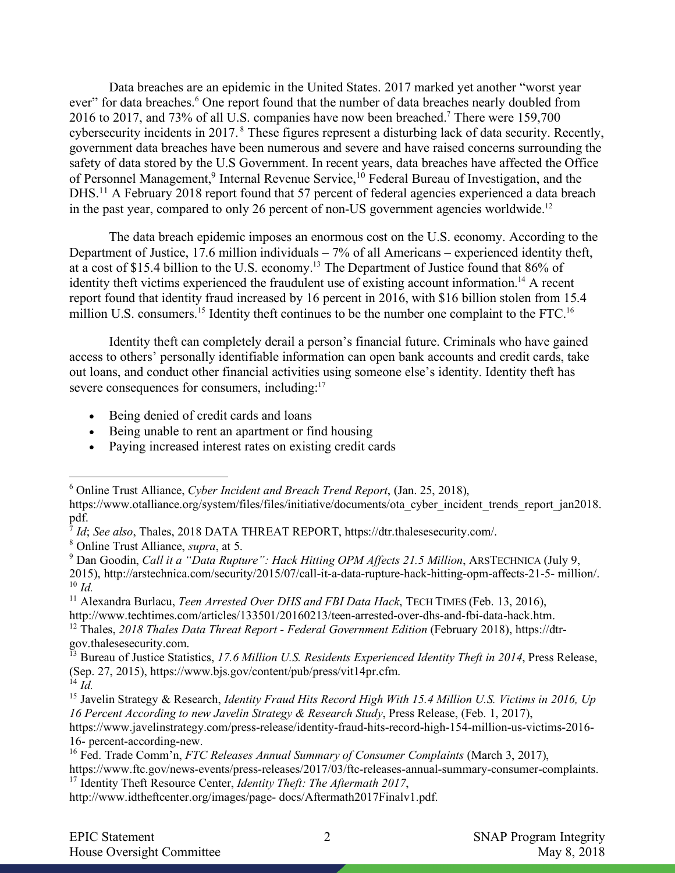Data breaches are an epidemic in the United States. 2017 marked yet another "worst year ever" for data breaches.<sup>6</sup> One report found that the number of data breaches nearly doubled from 2016 to 2017, and 73% of all U.S. companies have now been breached.7 There were 159,700 cybersecurity incidents in 2017. <sup>8</sup> These figures represent a disturbing lack of data security. Recently, government data breaches have been numerous and severe and have raised concerns surrounding the safety of data stored by the U.S Government. In recent years, data breaches have affected the Office of Personnel Management,<sup>9</sup> Internal Revenue Service,<sup>10</sup> Federal Bureau of Investigation, and the DHS.<sup>11</sup> A February 2018 report found that 57 percent of federal agencies experienced a data breach in the past year, compared to only 26 percent of non-US government agencies worldwide.<sup>12</sup>

The data breach epidemic imposes an enormous cost on the U.S. economy. According to the Department of Justice, 17.6 million individuals – 7% of all Americans – experienced identity theft, at a cost of \$15.4 billion to the U.S. economy.13 The Department of Justice found that 86% of identity theft victims experienced the fraudulent use of existing account information.<sup>14</sup> A recent report found that identity fraud increased by 16 percent in 2016, with \$16 billion stolen from 15.4 million U.S. consumers.<sup>15</sup> Identity theft continues to be the number one complaint to the FTC.<sup>16</sup>

Identity theft can completely derail a person's financial future. Criminals who have gained access to others' personally identifiable information can open bank accounts and credit cards, take out loans, and conduct other financial activities using someone else's identity. Identity theft has severe consequences for consumers, including:<sup>17</sup>

- Being denied of credit cards and loans
- Being unable to rent an apartment or find housing
- Paying increased interest rates on existing credit cards

 <sup>6</sup> Online Trust Alliance, *Cyber Incident and Breach Trend Report*, (Jan. 25, 2018),

https://www.otalliance.org/system/files/files/initiative/documents/ota\_cyber\_incident\_trends\_report\_jan2018. pdf.

<sup>7</sup> *Id*; *See also*, Thales, 2018 DATA THREAT REPORT, https://dtr.thalesesecurity.com/.

<sup>8</sup> Online Trust Alliance, *supra*, at 5.

<sup>9</sup> Dan Goodin, *Call it a "Data Rupture": Hack Hitting OPM Affects 21.5 Million*, ARSTECHNICA (July 9, 2015), http://arstechnica.com/security/2015/07/call-it-a-data-rupture-hack-hitting-opm-affects-21-5- million/. <sup>10</sup> *Id.*

<sup>11</sup> Alexandra Burlacu, *Teen Arrested Over DHS and FBI Data Hack*, TECH TIMES (Feb. 13, 2016), http://www.techtimes.com/articles/133501/20160213/teen-arrested-over-dhs-and-fbi-data-hack.htm.

<sup>12</sup> Thales, *2018 Thales Data Threat Report - Federal Government Edition* (February 2018), https://dtrgov.thalesesecurity.com.

<sup>13</sup> Bureau of Justice Statistics, *17.6 Million U.S. Residents Experienced Identity Theft in 2014*, Press Release, (Sep. 27, 2015), https://www.bjs.gov/content/pub/press/vit14pr.cfm. <sup>14</sup> *Id.*

<sup>15</sup> Javelin Strategy & Research, *Identity Fraud Hits Record High With 15.4 Million U.S. Victims in 2016, Up 16 Percent According to new Javelin Strategy & Research Study*, Press Release, (Feb. 1, 2017),

https://www.javelinstrategy.com/press-release/identity-fraud-hits-record-high-154-million-us-victims-2016- 16- percent-according-new.

<sup>16</sup> Fed. Trade Comm'n, *FTC Releases Annual Summary of Consumer Complaints* (March 3, 2017),

https://www.ftc.gov/news-events/press-releases/2017/03/ftc-releases-annual-summary-consumer-complaints. <sup>17</sup> Identity Theft Resource Center, *Identity Theft: The Aftermath 2017*,

http://www.idtheftcenter.org/images/page- docs/Aftermath2017Finalv1.pdf.